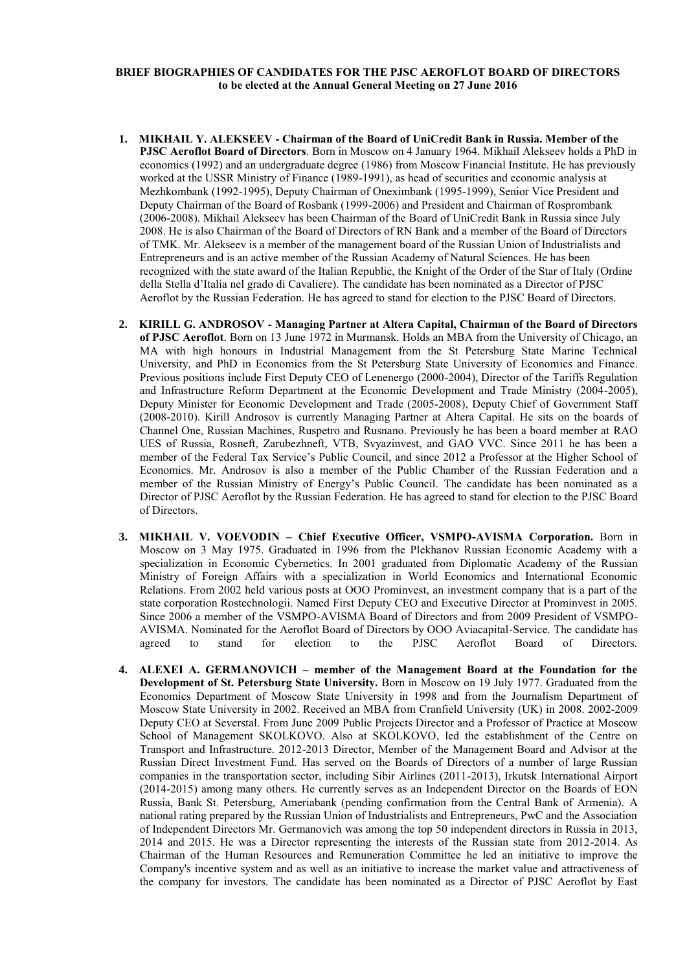## **BRIEF BIOGRAPHIES OF CANDIDATES FOR THE PJSC AEROFLOT BOARD OF DIRECTORS to be elected at the Annual General Meeting on 27 June 2016**

- **1. MIKHAIL Y. ALEKSEEV - Chairman of the Board of UniCredit Bank in Russia. Member of the PJSC Aeroflot Board of Directors**. Born in Moscow on 4 January 1964. Mikhail Alekseev holds a PhD in economics (1992) and an undergraduate degree (1986) from Moscow Financial Institute. He has previously worked at the USSR Ministry of Finance (1989-1991), as head of securities and economic analysis at Mezhkombank (1992-1995), Deputy Chairman of Oneximbank (1995-1999), Senior Vice President and Deputy Chairman of the Board of Rosbank (1999-2006) and President and Chairman of Rosprombank (2006-2008). Mikhail Alekseev has been Chairman of the Board of UniCredit Bank in Russia since July 2008. He is also Chairman of the Board of Directors of RN Bank and a member of the Board of Directors of TMK. Mr. Alekseev is a member of the management board of the Russian Union of Industrialists and Entrepreneurs and is an active member of the Russian Academy of Natural Sciences. He has been recognized with the state award of the Italian Republic, the Knight of the Order of the Star of Italy (Ordine della Stella d'Italia nel grado di Cavaliere). The candidate has been nominated as a Director of PJSC Aeroflot by the Russian Federation. He has agreed to stand for election to the PJSC Board of Directors.
- **2. KIRILL G. ANDROSOV - Managing Partner at Altera Capital, Chairman of the Board of Directors of PJSC Aeroflot**. Born on 13 June 1972 in Murmansk. Holds an MBA from the University of Chicago, an MA with high honours in Industrial Management from the St Petersburg State Marine Technical University, and PhD in Economics from the St Petersburg State University of Economics and Finance. Previous positions include First Deputy CEO of Lenenergo (2000-2004), Director of the Tariffs Regulation and Infrastructure Reform Department at the Economic Development and Trade Ministry (2004-2005), Deputy Minister for Economic Development and Trade (2005-2008), Deputy Chief of Government Staff (2008-2010). Kirill Androsov is currently Managing Partner at Altera Capital. He sits on the boards of Channel One, Russian Machines, Ruspetro and Rusnano. Previously he has been a board member at RAO UES of Russia, Rosneft, Zarubezhneft, VTB, Svyazinvest, and GAO VVC. Since 2011 he has been a member of the Federal Tax Service's Public Council, and since 2012 a Professor at the Higher School of Economics. Mr. Androsov is also a member of the Public Chamber of the Russian Federation and a member of the Russian Ministry of Energy's Public Council. The candidate has been nominated as a Director of PJSC Aeroflot by the Russian Federation. He has agreed to stand for election to the PJSC Board of Directors.
- **3. MIKHAIL V. VOEVODIN – Chief Executive Officer, VSMPO-AVISMA Corporation.** Born in Moscow on 3 May 1975. Graduated in 1996 from the Plekhanov Russian Economic Academy with a specialization in Economic Cybernetics. In 2001 graduated from Diplomatic Academy of the Russian Ministry of Foreign Affairs with a specialization in World Economics and International Economic Relations. From 2002 held various posts at OOO Prominvest, an investment company that is a part of the state corporation Rostechnologii. Named First Deputy CEO and Executive Director at Prominvest in 2005. Since 2006 a member of the VSMPO-AVISMA Board of Directors and from 2009 President of VSMPO-AVISMA. Nominated for the Aeroflot Board of Directors by OOO Aviacapital-Service. The candidate has agreed to stand for election to the PJSC Aeroflot Board of Directors.
- **4. ALEXEI A. GERMANOVICH – member of the Management Board at the Foundation for the Development of St. Petersburg State University.** Born in Moscow on 19 July 1977. Graduated from the Economics Department of Moscow State University in 1998 and from the Journalism Department of Moscow State University in 2002. Received an MBA from Cranfield University (UK) in 2008. 2002-2009 Deputy CEO at Severstal. From June 2009 Public Projects Director and a Professor of Practice at Moscow School of Management SKOLKOVO. Also at SKOLKOVO, led the establishment of the Centre on Transport and Infrastructure. 2012-2013 Director, Member of the Management Board and Advisor at the Russian Direct Investment Fund. Has served on the Boards of Directors of a number of large Russian companies in the transportation sector, including Sibir Airlines (2011-2013), Irkutsk International Airport (2014-2015) among many others. He currently serves as an Independent Director on the Boards of EON Russia, Bank St. Petersburg, Ameriabank (pending confirmation from the Central Bank of Armenia). A national rating prepared by the Russian Union of Industrialists and Entrepreneurs, PwC and the Association of Independent Directors Mr. Germanovich was among the top 50 independent directors in Russia in 2013, 2014 and 2015. He was a Director representing the interests of the Russian state from 2012-2014. As Chairman of the Human Resources and Remuneration Committee he led an initiative to improve the Company's incentive system and as well as an initiative to increase the market value and attractiveness of the company for investors. The candidate has been nominated as a Director of PJSC Aeroflot by East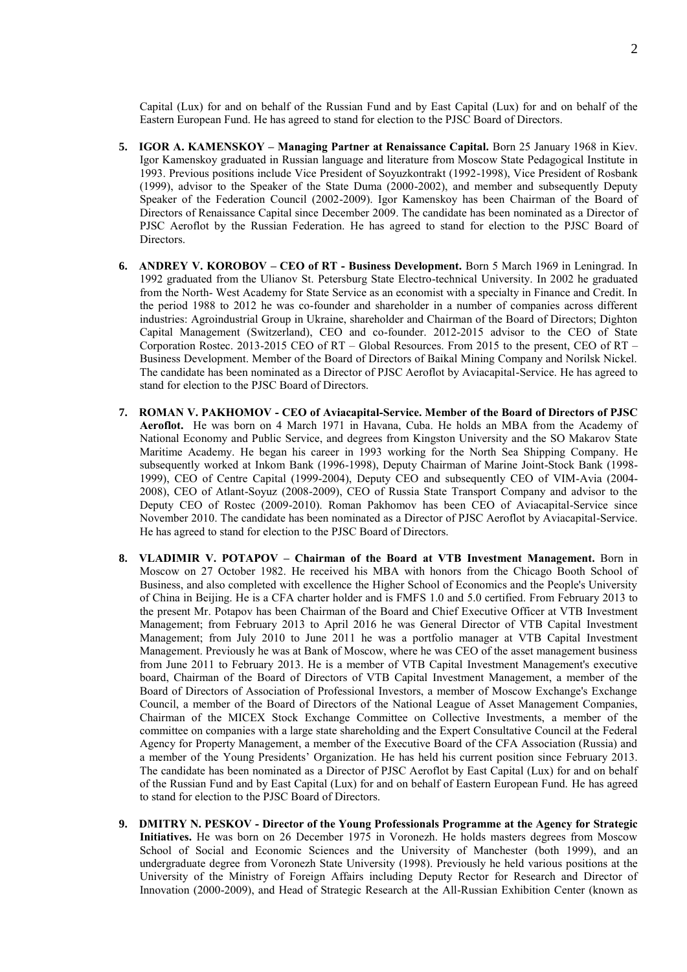Capital (Lux) for and on behalf of the Russian Fund and by East Capital (Lux) for and on behalf of the Eastern European Fund. He has agreed to stand for election to the PJSC Board of Directors.

- **5. IGOR A. KAMENSKOY – Managing Partner at Renaissance Capital.** Born 25 January 1968 in Kiev. Igor Kamenskoy graduated in Russian language and literature from Moscow State Pedagogical Institute in 1993. Previous positions include Vice President of Soyuzkontrakt (1992-1998), Vice President of Rosbank (1999), advisor to the Speaker of the State Duma (2000-2002), and member and subsequently Deputy Speaker of the Federation Council (2002-2009). Igor Kamenskoy has been Chairman of the Board of Directors of Renaissance Capital since December 2009. The candidate has been nominated as a Director of PJSC Aeroflot by the Russian Federation. He has agreed to stand for election to the PJSC Board of Directors.
- **6. ANDREY V. KOROBOV – CEO of RT - Business Development.** Born 5 March 1969 in Leningrad. In 1992 graduated from the Ulianov St. Petersburg State Electro-technical University. In 2002 he graduated from the North- West Academy for State Service as an economist with a specialty in Finance and Credit. In the period 1988 to 2012 he was co-founder and shareholder in a number of companies across different industries: Agroindustrial Group in Ukraine, shareholder and Chairman of the Board of Directors; Dighton Capital Management (Switzerland), CEO and co-founder. 2012-2015 advisor to the CEO of State Corporation Rostec. 2013-2015 CEO of RT – Global Resources. From 2015 to the present, CEO of RT – Business Development. Member of the Board of Directors of Baikal Mining Company and Norilsk Nickel. The candidate has been nominated as a Director of PJSC Aeroflot by Aviacapital-Service. He has agreed to stand for election to the PJSC Board of Directors.
- **7. ROMAN V. PAKHOMOV - CEO of Aviacapital-Service. Member of the Board of Directors of PJSC Aeroflot.** He was born on 4 March 1971 in Havana, Cuba. He holds an MBA from the Academy of National Economy and Public Service, and degrees from Kingston University and the SO Makarov State Maritime Academy. He began his career in 1993 working for the North Sea Shipping Company. He subsequently worked at Inkom Bank (1996-1998), Deputy Chairman of Marine Joint-Stock Bank (1998- 1999), CEO of Centre Capital (1999-2004), Deputy CEO and subsequently CEO of VIM-Avia (2004- 2008), CEO of Atlant-Soyuz (2008-2009), CEO of Russia State Transport Company and advisor to the Deputy CEO of Rostec (2009-2010). Roman Pakhomov has been CEO of Aviacapital-Service since November 2010. The candidate has been nominated as a Director of PJSC Aeroflot by Aviacapital-Service. He has agreed to stand for election to the PJSC Board of Directors.
- **8. VLADIMIR V. POTAPOV – Chairman of the Board at VTB Investment Management.** Born in Moscow on 27 October 1982. He received his MBA with honors from the Chicago Booth School of Business, and also completed with excellence the Higher School of Economics and the People's University of China in Beijing. He is a CFA charter holder and is FMFS 1.0 and 5.0 certified. From February 2013 to the present Mr. Potapov has been Chairman of the Board and Chief Executive Officer at VTB Investment Management; from February 2013 to April 2016 he was General Director of VTB Capital Investment Management; from July 2010 to June 2011 he was a portfolio manager at VTB Capital Investment Management. Previously he was at Bank of Moscow, where he was CEO of the asset management business from June 2011 to February 2013. He is a member of VTB Capital Investment Management's executive board, Chairman of the Board of Directors of VTB Capital Investment Management, a member of the Board of Directors of Association of Professional Investors, a member of Moscow Exchange's Exchange Council, a member of the Board of Directors of the National League of Asset Management Companies, Chairman of the MICEX Stock Exchange Committee on Collective Investments, a member of the committee on companies with a large state shareholding and the Expert Consultative Council at the Federal Agency for Property Management, a member of the Executive Board of the CFA Association (Russia) and a member of the Young Presidents' Organization. He has held his current position since February 2013. The candidate has been nominated as a Director of PJSC Aeroflot by East Capital (Lux) for and on behalf of the Russian Fund and by East Capital (Lux) for and on behalf of Eastern European Fund. He has agreed to stand for election to the PJSC Board of Directors.
- **9. DMITRY N. PESKOV - Director of the Young Professionals Programme at the Agency for Strategic Initiatives.** He was born on 26 December 1975 in Voronezh. He holds masters degrees from Moscow School of Social and Economic Sciences and the University of Manchester (both 1999), and an undergraduate degree from Voronezh State University (1998). Previously he held various positions at the University of the Ministry of Foreign Affairs including Deputy Rector for Research and Director of Innovation (2000-2009), and Head of Strategic Research at the All-Russian Exhibition Center (known as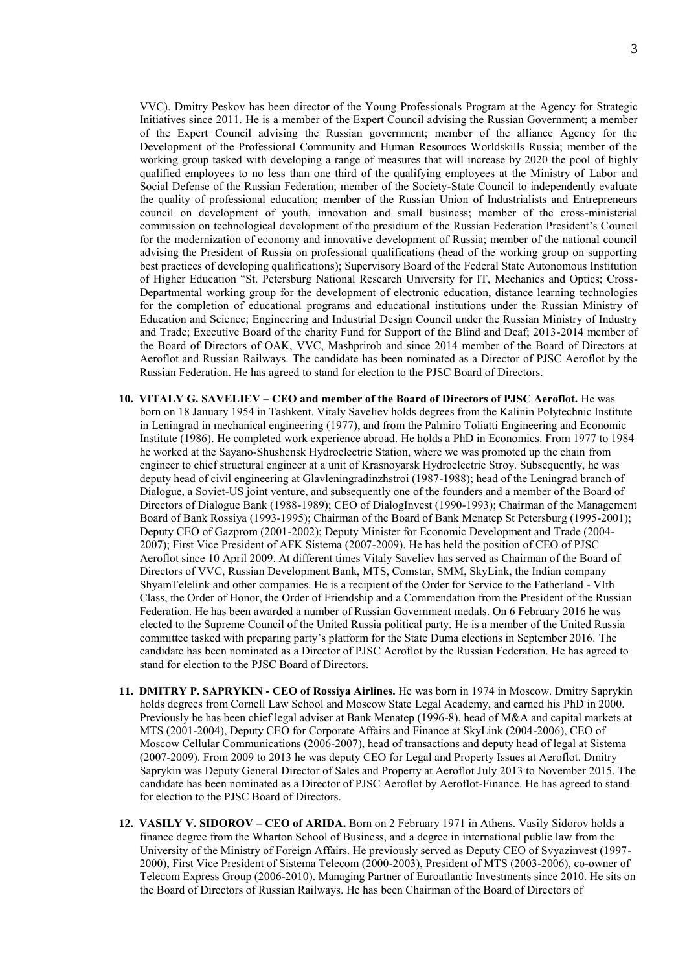VVC). Dmitry Peskov has been director of the Young Professionals Program at the Agency for Strategic Initiatives since 2011. He is a member of the Expert Council advising the Russian Government; a member of the Expert Council advising the Russian government; member of the alliance Agency for the Development of the Professional Community and Human Resources Worldskills Russia; member of the working group tasked with developing a range of measures that will increase by 2020 the pool of highly qualified employees to no less than one third of the qualifying employees at the Ministry of Labor and Social Defense of the Russian Federation; member of the Society-State Council to independently evaluate the quality of professional education; member of the Russian Union of Industrialists and Entrepreneurs council on development of youth, innovation and small business; member of the cross-ministerial commission on technological development of the presidium of the Russian Federation President's Council for the modernization of economy and innovative development of Russia; member of the national council advising the President of Russia on professional qualifications (head of the working group on supporting best practices of developing qualifications); Supervisory Board of the Federal State Autonomous Institution of Higher Education "St. Petersburg National Research University for IT, Mechanics and Optics; Cross-Departmental working group for the development of electronic education, distance learning technologies for the completion of educational programs and educational institutions under the Russian Ministry of Education and Science; Engineering and Industrial Design Council under the Russian Ministry of Industry and Trade; Executive Board of the charity Fund for Support of the Blind and Deaf; 2013-2014 member of the Board of Directors of OAK, VVC, Mashprirob and since 2014 member of the Board of Directors at Aeroflot and Russian Railways. The candidate has been nominated as a Director of PJSC Aeroflot by the Russian Federation. He has agreed to stand for election to the PJSC Board of Directors.

- **10. VITALY G. SAVELIEV – CEO and member of the Board of Directors of PJSC Aeroflot.** He was born on 18 January 1954 in Tashkent. Vitaly Saveliev holds degrees from the Kalinin Polytechnic Institute in Leningrad in mechanical engineering (1977), and from the Palmiro Toliatti Engineering and Economic Institute (1986). He completed work experience abroad. He holds a PhD in Economics. From 1977 to 1984 he worked at the Sayano-Shushensk Hydroelectric Station, where we was promoted up the chain from engineer to chief structural engineer at a unit of Krasnoyarsk Hydroelectric Stroy. Subsequently, he was deputy head of civil engineering at Glavleningradinzhstroi (1987-1988); head of the Leningrad branch of Dialogue, a Soviet-US joint venture, and subsequently one of the founders and a member of the Board of Directors of Dialogue Bank (1988-1989); CEO of DialogInvest (1990-1993); Chairman of the Management Board of Bank Rossiya (1993-1995); Chairman of the Board of Bank Menatep St Petersburg (1995-2001); Deputy CEO of Gazprom (2001-2002); Deputy Minister for Economic Development and Trade (2004- 2007); First Vice President of AFK Sistema (2007-2009). He has held the position of CEO of PJSC Aeroflot since 10 April 2009. At different times Vitaly Saveliev has served as Chairman of the Board of Directors of VVC, Russian Development Bank, MTS, Comstar, SMM, SkyLink, the Indian company ShyamTelelink and other companies. He is a recipient of the Order for Service to the Fatherland - VIth Class, the Order of Honor, the Order of Friendship and a Commendation from the President of the Russian Federation. He has been awarded a number of Russian Government medals. On 6 February 2016 he was elected to the Supreme Council of the United Russia political party. He is a member of the United Russia committee tasked with preparing party's platform for the State Duma elections in September 2016. The candidate has been nominated as a Director of PJSC Aeroflot by the Russian Federation. He has agreed to stand for election to the PJSC Board of Directors.
- **11. DMITRY P. SAPRYKIN - CEO of Rossiya Airlines.** He was born in 1974 in Moscow. Dmitry Saprykin holds degrees from Cornell Law School and Moscow State Legal Academy, and earned his PhD in 2000. Previously he has been chief legal adviser at Bank Menatep (1996-8), head of M&A and capital markets at MTS (2001-2004), Deputy CEO for Corporate Affairs and Finance at SkyLink (2004-2006), CEO of Moscow Cellular Communications (2006-2007), head of transactions and deputy head of legal at Sistema (2007-2009). From 2009 to 2013 he was deputy CEO for Legal and Property Issues at Aeroflot. Dmitry Saprykin was Deputy General Director of Sales and Property at Aeroflot July 2013 to November 2015. The candidate has been nominated as a Director of PJSC Aeroflot by Aeroflot-Finance. He has agreed to stand for election to the PJSC Board of Directors.
- **12. VASILY V. SIDOROV – CEO of ARIDA.** Born on 2 February 1971 in Athens. Vasily Sidorov holds a finance degree from the Wharton School of Business, and a degree in international public law from the University of the Ministry of Foreign Affairs. He previously served as Deputy CEO of Svyazinvest (1997- 2000), First Vice President of Sistema Telecom (2000-2003), President of MTS (2003-2006), co-owner of Telecom Express Group (2006-2010). Managing Partner of Euroatlantic Investments since 2010. He sits on the Board of Directors of Russian Railways. He has been Chairman of the Board of Directors of